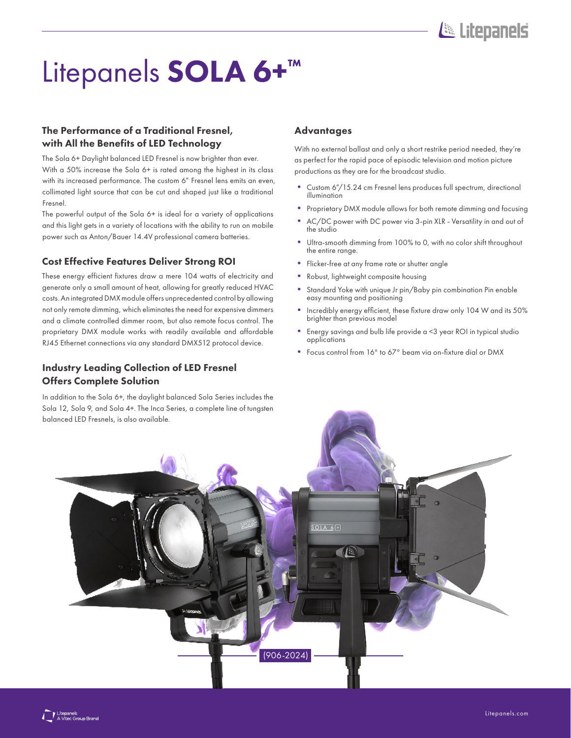# Litepanels SOLA 6+<sup>™</sup>

## The Performance of a Traditional Fresnel, with All the Benefits of LED Technology

The Sola 6+ Daylight balanced LED Fresnel is now brighter than ever. With a 50% increase the Sola 6+ is rated among the highest in its class with its increased performance. The custom 6" Fresnel lens emits an even, collimated light source that can be cut and shaped just like a traditional Fresnel.

The powerful output of the Sola 6+ is ideal for a variety of applications and this light gets in a variety of locations with the ability to run on mobile power such as Anton/Bauer 14.4V professional camera batteries.

#### Cost Effective Features Deliver Strong ROI

These energy efficient fixtures draw a mere 104 watts of electricity and generate only a small amount of heat, allowing for greatly reduced HVAC costs. An integrated DMX module offers unprecedented control by allowing not only remote dimming, which eliminates the need for expensive dimmers and a climate controlled dimmer room, but also remote focus control. The proprietary DMX module works with readily available and affordable RJ45 Ethernet connections via any standard DMX512 protocol device.

## Industry Leading Collection of LED Fresnel Offers Complete Solution

In addition to the Sola 6+, the daylight balanced Sola Series includes the Sola 12, Sola 9, and Sola 4+. The Inca Series, a complete line of tungsten balanced LED Fresnels, is also available.

#### Advantages

With no external ballast and only a short restrike period needed, they're as perfect for the rapid pace of episodic television and motion picture productions as they are for the broadcast studio.

- Custom 6"/15.24 cm Fresnel lens produces full spectrum, directional illumination
- Proprietary DMX module allows for both remote dimming and focusing
- AC/DC power with DC power via 3-pin XLR Versatility in and out of the studio
- Ultra-smooth dimming from 100% to 0, with no color shift throughout the entire range.
- Flicker-free at any frame rate or shutter angle
- Robust, lightweight composite housing
- Standard Yoke with unique Jr pin/Baby pin combination Pin enable easy mounting and positioning
- Incredibly energy efficient, these fixture draw only 104 W and its 50% brighter than previous model
- Energy savings and bulb life provide a <3 year ROI in typical studio applications
- Focus control from 16° to 67° beam via on-fixture dial or DMX